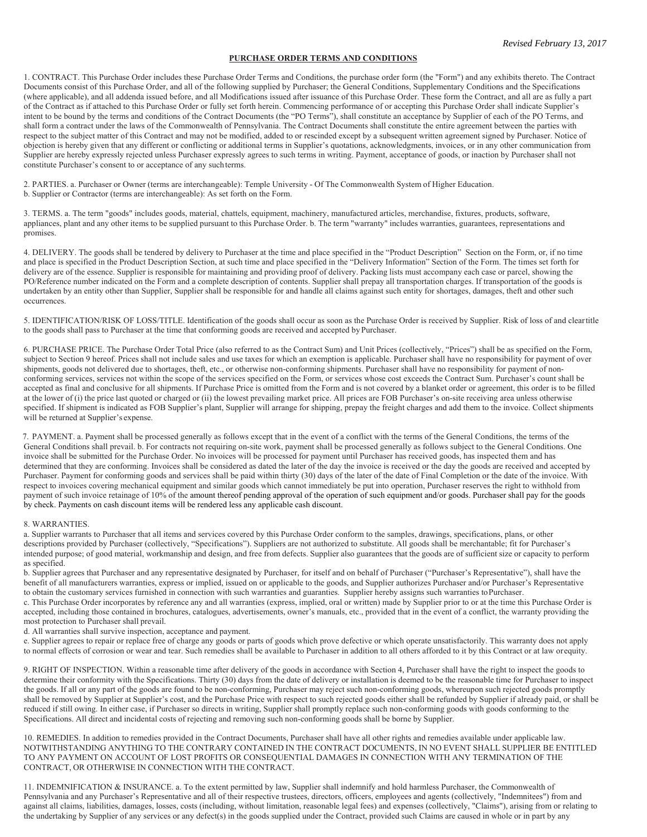# **PURCHASE ORDER TERMS AND CONDITIONS**

1. CONTRACT. This Purchase Order includes these Purchase Order Terms and Conditions, the purchase order form (the "Form") and any exhibits thereto. The Contract Documents consist of this Purchase Order, and all of the following supplied by Purchaser; the General Conditions, Supplementary Conditions and the Specifications (where applicable), and all addenda issued before, and all Modifications issued after issuance of this Purchase Order. These form the Contract, and all are as fully a part of the Contract as if attached to this Purchase Order or fully set forth herein. Commencing performance of or accepting this Purchase Order shall indicate Supplier's intent to be bound by the terms and conditions of the Contract Documents (the "PO Terms"), shall constitute an acceptance by Supplier of each of the PO Terms, and shall form a contract under the laws of the Commonwealth of Pennsylvania. The Contract Documents shall constitute the entire agreement between the parties with respect to the subject matter of this Contract and may not be modified, added to or rescinded except by a subsequent written agreement signed by Purchaser. Notice of objection is hereby given that any different or conflicting or additional terms in Supplier's quotations, acknowledgments, invoices, or in any other communication from Supplier are hereby expressly rejected unless Purchaser expressly agrees to such terms in writing. Payment, acceptance of goods, or inaction by Purchaser shall not constitute Purchaser's consent to or acceptance of any such terms.

2. PARTIES. a. Purchaser or Owner (terms are interchangeable): Temple University - Of The Commonwealth System of Higher Education. b. Supplier or Contractor (terms are interchangeable): As set forth on the Form.

3. TERMS. a. The term "goods" includes goods, material, chattels, equipment, machinery, manufactured articles, merchandise, fixtures, products, software, appliances, plant and any other items to be supplied pursuant to this Purchase Order. b. The term "warranty" includes warranties, guarantees, representations and promises.

4. DELIVERY. The goods shall be tendered by delivery to Purchaser at the time and place specified in the "Product Description" Section on the Form, or, if no time and place is specified in the Product Description Section, at such time and place specified in the "Delivery Information" Section of the Form. The times set forth for delivery are of the essence. Supplier is responsible for maintaining and providing proof of delivery. Packing lists must accompany each case or parcel, showing the PO/Reference number indicated on the Form and a complete description of contents. Supplier shall prepay all transportation charges. If transportation of the goods is undertaken by an entity other than Supplier, Supplier shall be responsible for and handle all claims against such entity for shortages, damages, theft and other such occurrences.

5. IDENTIFICATION/RISK OF LOSS/TITLE. Identification of the goods shall occur as soon as the Purchase Order is received by Supplier. Risk of loss of and clear title to the goods shall pass to Purchaser at the time that conforming goods are received and accepted by Purchaser.

6. PURCHASE PRICE. The Purchase Order Total Price (also referred to as the Contract Sum) and Unit Prices (collectively, "Prices") shall be as specified on the Form, subject to Section 9 hereof. Prices shall not include sales and use taxes for which an exemption is applicable. Purchaser shall have no responsibility for payment of over shipments, goods not delivered due to shortages, theft, etc., or otherwise non-conforming shipments. Purchaser shall have no responsibility for payment of nonconforming services, services not within the scope of the services specified on the Form, or services whose cost exceeds the Contract Sum. Purchaser's count shall be accepted as final and conclusive for all shipments. If Purchase Price is omitted from the Form and is not covered by a blanket order or agreement, this order is to be filled at the lower of (i) the price last quoted or charged or (ii) the lowest prevailing market price. All prices are FOB Purchaser's on-site receiving area unless otherwise specified. If shipment is indicated as FOB Supplier's plant, Supplier will arrange for shipping, prepay the freight charges and add them to the invoice. Collect shipments will be returned at Supplier's expense.

7. PAYMENT. a. Payment shall be processed generally as follows except that in the event of a conflict with the terms of the General Conditions, the terms of the General Conditions shall prevail. b. For contracts not requiring on-site work, payment shall be processed generally as follows subject to the General Conditions. One invoice shall be submitted for the Purchase Order. No invoices will be processed for payment until Purchaser has received goods, has inspected them and has determined that they are conforming. Invoices shall be considered as dated the later of the day the invoice is received or the day the goods are received and accepted by Purchaser. Payment for conforming goods and services shall be paid within thirty (30) days of the later of the date of Final Completion or the date of the invoice. With respect to invoices covering mechanical equipment and similar goods which cannot immediately be put into operation, Purchaser reserves the right to withhold from payment of such invoice retainage of 10% of the amount thereof pending approval of the operation of such equipment and/or goods. Purchaser shall pay for the goods by check. Payments on cash discount items will be rendered less any applicable cash discount.

### 8. WARRANTIES.

a. Supplier warrants to Purchaser that all items and services covered by this Purchase Order conform to the samples, drawings, specifications, plans, or other descriptions provided by Purchaser (collectively, "Specifications"). Suppliers are not authorized to substitute. All goods shall be merchantable; fit for Purchaser's intended purpose; of good material, workmanship and design, and free from defects. Supplier also guarantees that the goods are of sufficient size or capacity to perform as specified.

b. Supplier agrees that Purchaser and any representative designated by Purchaser, for itself and on behalf of Purchaser ("Purchaser's Representative"), shall have the benefit of all manufacturers warranties, express or implied, issued on or applicable to the goods, and Supplier authorizes Purchaser and/or Purchaser's Representative to obtain the customary services furnished in connection with such warranties and guaranties. Supplier hereby assigns such warranties to Purchaser.

c. This Purchase Order incorporates by reference any and all warranties (express, implied, oral or written) made by Supplier prior to or at the time this Purchase Order is accepted, including those contained in brochures, catalogues, advertisements, owner's manuals, etc., provided that in the event of a conflict, the warranty providing the most protection to Purchaser shall prevail.

d. All warranties shall survive inspection, acceptance and payment.

e. Supplier agrees to repair or replace free of charge any goods or parts of goods which prove defective or which operate unsatisfactorily. This warranty does not apply to normal effects of corrosion or wear and tear. Such remedies shall be available to Purchaser in addition to all others afforded to it by this Contract or at law or equity.

9. RIGHT OF INSPECTION. Within a reasonable time after delivery of the goods in accordance with Section 4, Purchaser shall have the right to inspect the goods to determine their conformity with the Specifications. Thirty (30) days from the date of delivery or installation is deemed to be the reasonable time for Purchaser to inspect the goods. If all or any part of the goods are found to be non-conforming, Purchaser may reject such non-conforming goods, whereupon such rejected goods promptly shall be removed by Supplier at Supplier's cost, and the Purchase Price with respect to such rejected goods either shall be refunded by Supplier if already paid, or shall be reduced if still owing. In either case, if Purchaser so directs in writing, Supplier shall promptly replace such non-conforming goods with goods conforming to the Specifications. All direct and incidental costs of rejecting and removing such non-conforming goods shall be borne by Supplier.

10. REMEDIES. In addition to remedies provided in the Contract Documents, Purchaser shall have all other rights and remedies available under applicable law. NOTWITHSTANDING ANYTHING TO THE CONTRARY CONTAINED IN THE CONTRACT DOCUMENTS, IN NO EVENT SHALL SUPPLIER BE ENTITLED TO ANY PAYMENT ON ACCOUNT OF LOST PROFITS OR CONSEQUENTIAL DAMAGES IN CONNECTION WITH ANY TERMINATION OF THE CONTRACT, OR OTHERWISE IN CONNECTION WITH THE CONTRACT.

11. INDEMNIFICATION & INSURANCE. a. To the extent permitted by law, Supplier shall indemnify and hold harmless Purchaser, the Commonwealth of Pennsylvania and any Purchaser's Representative and all of their respective trustees, directors, officers, employees and agents (collectively, "Indemnitees") from and against all claims, liabilities, damages, losses, costs (including, without limitation, reasonable legal fees) and expenses (collectively, "Claims"), arising from or relating to the undertaking by Supplier of any services or any defect(s) in the goods supplied under the Contract, provided such Claims are caused in whole or in part by any